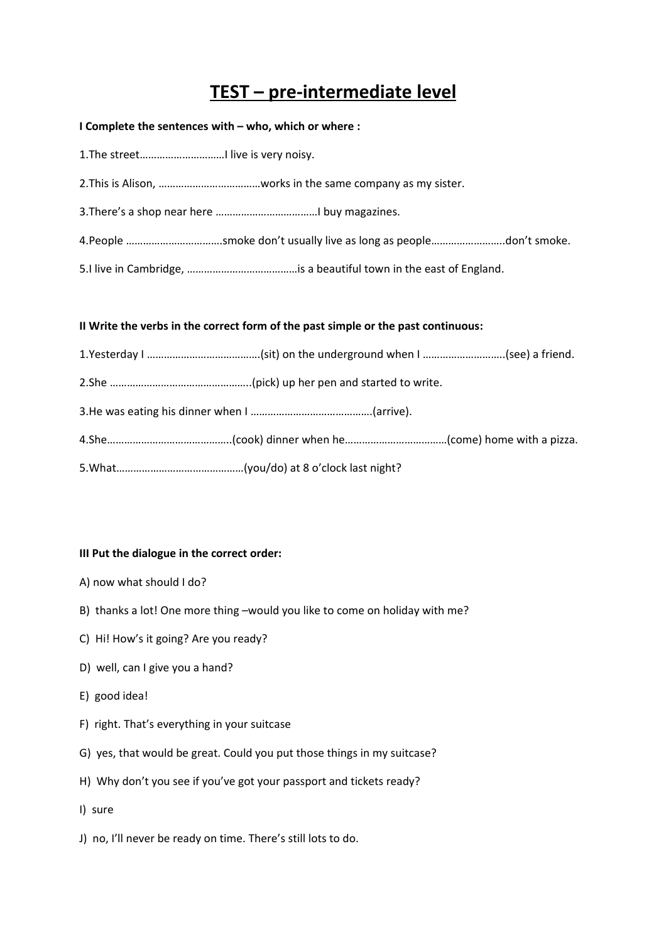# **TEST – pre-intermediate level**

#### **I Complete the sentences with – who, which or where :**

## **II Write the verbs in the correct form of the past simple or the past continuous:**

#### **III Put the dialogue in the correct order:**

- A) now what should I do?
- B) thanks a lot! One more thing –would you like to come on holiday with me?
- C) Hi! How's it going? Are you ready?
- D) well, can I give you a hand?
- E) good idea!
- F) right. That's everything in your suitcase
- G) yes, that would be great. Could you put those things in my suitcase?
- H) Why don't you see if you've got your passport and tickets ready?
- I) sure
- J) no, I'll never be ready on time. There's still lots to do.